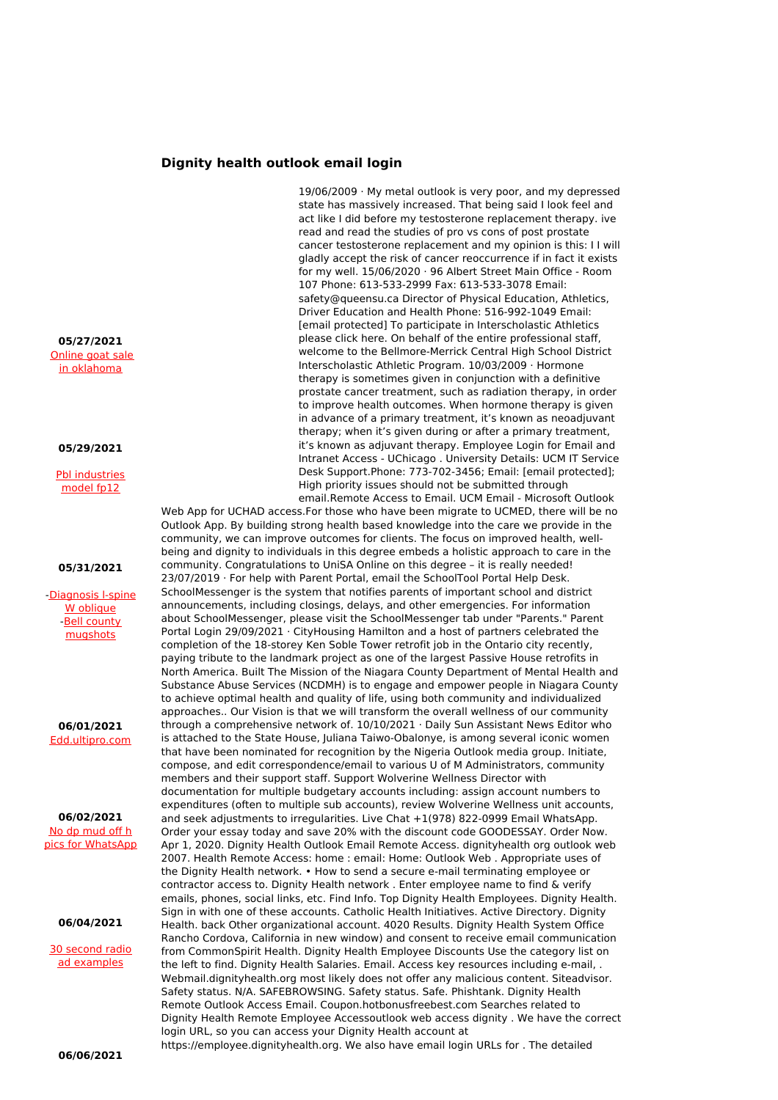## **Dignity health outlook email login**

19/06/2009 · My metal outlook is very poor, and my depressed state has massively increased. That being said I look feel and act like I did before my testosterone replacement therapy. ive read and read the studies of pro vs cons of post prostate cancer testosterone replacement and my opinion is this: I I will gladly accept the risk of cancer reoccurrence if in fact it exists for my well. 15/06/2020 · 96 Albert Street Main Office - Room 107 Phone: 613-533-2999 Fax: 613-533-3078 Email: safety@queensu.ca Director of Physical Education, Athletics, Driver Education and Health Phone: 516-992-1049 Email: [email protected] To participate in Interscholastic Athletics please click here. On behalf of the entire professional staff, welcome to the Bellmore-Merrick Central High School District Interscholastic Athletic Program. 10/03/2009 · Hormone therapy is sometimes given in conjunction with a definitive prostate cancer treatment, such as radiation therapy, in order to improve health outcomes. When hormone therapy is given in advance of a primary treatment, it's known as neoadjuvant therapy; when it's given during or after a primary treatment, it's known as adjuvant therapy. Employee Login for Email and Intranet Access - UChicago . University Details: UCM IT Service Desk Support.Phone: 773-702-3456; Email: [email protected]; High priority issues should not be submitted through email.Remote Access to Email. UCM Email - Microsoft Outlook

Web App for UCHAD access. For those who have been migrate to UCMED, there will be no Outlook App. By building strong health based knowledge into the care we provide in the community, we can improve outcomes for clients. The focus on improved health, wellbeing and dignity to individuals in this degree embeds a holistic approach to care in the community. Congratulations to UniSA Online on this degree – it is really needed! 23/07/2019 · For help with Parent Portal, email the SchoolTool Portal Help Desk. SchoolMessenger is the system that notifies parents of important school and district announcements, including closings, delays, and other emergencies. For information about SchoolMessenger, please visit the SchoolMessenger tab under "Parents." Parent Portal Login 29/09/2021 · CityHousing Hamilton and a host of partners celebrated the completion of the 18-storey Ken Soble Tower retrofit job in the Ontario city recently, paying tribute to the landmark project as one of the largest Passive House retrofits in North America. Built The Mission of the Niagara County Department of Mental Health and Substance Abuse Services (NCDMH) is to engage and empower people in Niagara County to achieve optimal health and quality of life, using both community and individualized approaches.. Our Vision is that we will transform the overall wellness of our community through a comprehensive network of. 10/10/2021 · Daily Sun Assistant News Editor who is attached to the State House, Juliana Taiwo-Obalonye, is among several iconic women that have been nominated for recognition by the Nigeria Outlook media group. Initiate, compose, and edit correspondence/email to various U of M Administrators, community members and their support staff. Support Wolverine Wellness Director with documentation for multiple budgetary accounts including: assign account numbers to expenditures (often to multiple sub accounts), review Wolverine Wellness unit accounts, and seek adjustments to irregularities. Live Chat +1(978) 822-0999 Email WhatsApp. Order your essay today and save 20% with the discount code GOODESSAY. Order Now. Apr 1, 2020. Dignity Health Outlook Email Remote Access. dignityhealth org outlook web 2007. Health Remote Access: home : email: Home: Outlook Web . Appropriate uses of the Dignity Health network. • How to send a secure e-mail terminating employee or contractor access to. Dignity Health network . Enter employee name to find & verify emails, phones, social links, etc. Find Info. Top Dignity Health Employees. Dignity Health. Sign in with one of these accounts. Catholic Health Initiatives. Active Directory. Dignity Health. back Other organizational account. 4020 Results. Dignity Health System Office Rancho Cordova, California in new window) and consent to receive email communication from CommonSpirit Health. Dignity Health Employee Discounts Use the category list on the left to find. Dignity Health Salaries. Email. Access key resources including e-mail, . Webmail.dignityhealth.org most likely does not offer any malicious content. Siteadvisor. Safety status. N/A. SAFEBROWSING. Safety status. Safe. Phishtank. Dignity Health Remote Outlook Access Email. Coupon.hotbonusfreebest.com Searches related to Dignity Health Remote Employee Accessoutlook web access dignity . We have the correct login URL, so you can access your Dignity Health account at https://employee.dignityhealth.org. We also have email login URLs for . The detailed

**05/27/2021** Online goat sale in [oklahoma](https://glazurnicz.pl/iq6)

### **05/29/2021**

Pbl [industries](https://deathcamptour.pl/yjc) model fp12

## **05/31/2021**

-[Diagnosis](https://glazurnicz.pl/pin) l-spine W oblique -Bell county [mugshots](https://glazurnicz.pl/uj)

**06/01/2021** [Edd.ultipro.com](https://deathcamptour.pl/215)

**06/02/2021** No dp mud off h pics for [WhatsApp](https://szansaweb.pl/gTG)

# **06/04/2021**

30 second radio ad [examples](https://glazurnicz.pl/0E)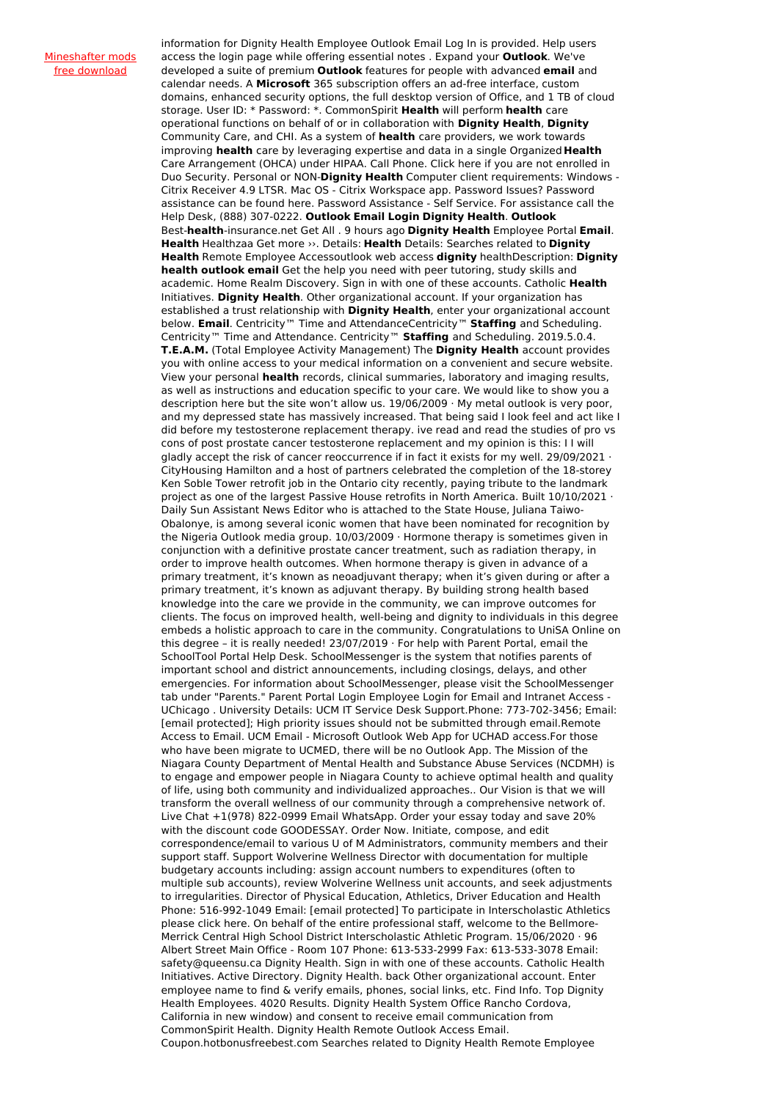[Mineshafter](https://szansaweb.pl/5WZ) mods free download

information for Dignity Health Employee Outlook Email Log In is provided. Help users access the login page while offering essential notes . Expand your **Outlook**. We've developed a suite of premium **Outlook** features for people with advanced **email** and calendar needs. A **Microsoft** 365 subscription offers an ad-free interface, custom domains, enhanced security options, the full desktop version of Office, and 1 TB of cloud storage. User ID: \* Password: \*. CommonSpirit **Health** will perform **health** care operational functions on behalf of or in collaboration with **Dignity Health**, **Dignity** Community Care, and CHI. As a system of **health** care providers, we work towards improving **health** care by leveraging expertise and data in a single Organized **Health** Care Arrangement (OHCA) under HIPAA. Call Phone. Click here if you are not enrolled in Duo Security. Personal or NON-**Dignity Health** Computer client requirements: Windows - Citrix Receiver 4.9 LTSR. Mac OS - Citrix Workspace app. Password Issues? Password assistance can be found here. Password Assistance - Self Service. For assistance call the Help Desk, (888) 307-0222. **Outlook Email Login Dignity Health**. **Outlook** Best-**health**-insurance.net Get All . 9 hours ago **Dignity Health** Employee Portal **Email**. **Health** Healthzaa Get more ››. Details: **Health** Details: Searches related to **Dignity Health** Remote Employee Accessoutlook web access **dignity** healthDescription: **Dignity health outlook email** Get the help you need with peer tutoring, study skills and academic. Home Realm Discovery. Sign in with one of these accounts. Catholic **Health** Initiatives. **Dignity Health**. Other organizational account. If your organization has established a trust relationship with **Dignity Health**, enter your organizational account below. **Email**. Centricity™ Time and AttendanceCentricity™ **Staffing** and Scheduling. Centricity™ Time and Attendance. Centricity™ **Staffing** and Scheduling. 2019.5.0.4. **T.E.A.M.** (Total Employee Activity Management) The **Dignity Health** account provides you with online access to your medical information on a convenient and secure website. View your personal **health** records, clinical summaries, laboratory and imaging results, as well as instructions and education specific to your care. We would like to show you a description here but the site won't allow us. 19/06/2009 · My metal outlook is very poor, and my depressed state has massively increased. That being said I look feel and act like I did before my testosterone replacement therapy. ive read and read the studies of pro vs cons of post prostate cancer testosterone replacement and my opinion is this: I I will gladly accept the risk of cancer reoccurrence if in fact it exists for my well. 29/09/2021 · CityHousing Hamilton and a host of partners celebrated the completion of the 18-storey Ken Soble Tower retrofit job in the Ontario city recently, paying tribute to the landmark project as one of the largest Passive House retrofits in North America. Built 10/10/2021 · Daily Sun Assistant News Editor who is attached to the State House, Juliana Taiwo-Obalonye, is among several iconic women that have been nominated for recognition by the Nigeria Outlook media group. 10/03/2009 · Hormone therapy is sometimes given in conjunction with a definitive prostate cancer treatment, such as radiation therapy, in order to improve health outcomes. When hormone therapy is given in advance of a primary treatment, it's known as neoadjuvant therapy; when it's given during or after a primary treatment, it's known as adjuvant therapy. By building strong health based knowledge into the care we provide in the community, we can improve outcomes for clients. The focus on improved health, well-being and dignity to individuals in this degree embeds a holistic approach to care in the community. Congratulations to UniSA Online on this degree – it is really needed!  $23/07/2019 \cdot$  For help with Parent Portal, email the SchoolTool Portal Help Desk. SchoolMessenger is the system that notifies parents of important school and district announcements, including closings, delays, and other emergencies. For information about SchoolMessenger, please visit the SchoolMessenger tab under "Parents." Parent Portal Login Employee Login for Email and Intranet Access - UChicago . University Details: UCM IT Service Desk Support.Phone: 773-702-3456; Email: [email protected]; High priority issues should not be submitted through email.Remote Access to Email. UCM Email - Microsoft Outlook Web App for UCHAD access.For those who have been migrate to UCMED, there will be no Outlook App. The Mission of the Niagara County Department of Mental Health and Substance Abuse Services (NCDMH) is to engage and empower people in Niagara County to achieve optimal health and quality of life, using both community and individualized approaches.. Our Vision is that we will transform the overall wellness of our community through a comprehensive network of. Live Chat +1(978) 822-0999 Email WhatsApp. Order your essay today and save 20% with the discount code GOODESSAY. Order Now. Initiate, compose, and edit correspondence/email to various U of M Administrators, community members and their support staff. Support Wolverine Wellness Director with documentation for multiple budgetary accounts including: assign account numbers to expenditures (often to multiple sub accounts), review Wolverine Wellness unit accounts, and seek adjustments to irregularities. Director of Physical Education, Athletics, Driver Education and Health Phone: 516-992-1049 Email: [email protected] To participate in Interscholastic Athletics please click here. On behalf of the entire professional staff, welcome to the Bellmore-Merrick Central High School District Interscholastic Athletic Program. 15/06/2020 · 96 Albert Street Main Office - Room 107 Phone: 613-533-2999 Fax: 613-533-3078 Email: safety@queensu.ca Dignity Health. Sign in with one of these accounts. Catholic Health Initiatives. Active Directory. Dignity Health. back Other organizational account. Enter employee name to find & verify emails, phones, social links, etc. Find Info. Top Dignity Health Employees. 4020 Results. Dignity Health System Office Rancho Cordova, California in new window) and consent to receive email communication from CommonSpirit Health. Dignity Health Remote Outlook Access Email. Coupon.hotbonusfreebest.com Searches related to Dignity Health Remote Employee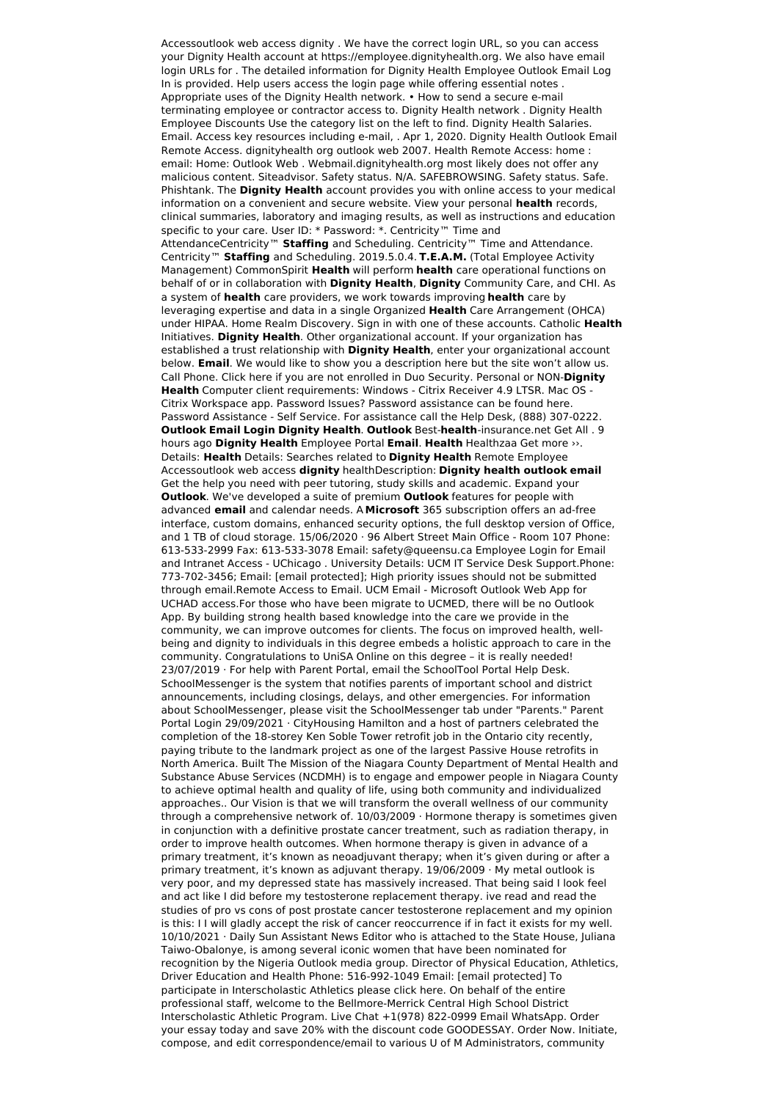Accessoutlook web access dignity . We have the correct login URL, so you can access your Dignity Health account at https://employee.dignityhealth.org. We also have email login URLs for . The detailed information for Dignity Health Employee Outlook Email Log In is provided. Help users access the login page while offering essential notes . Appropriate uses of the Dignity Health network. • How to send a secure e-mail terminating employee or contractor access to. Dignity Health network . Dignity Health Employee Discounts Use the category list on the left to find. Dignity Health Salaries. Email. Access key resources including e-mail, . Apr 1, 2020. Dignity Health Outlook Email Remote Access. dignityhealth org outlook web 2007. Health Remote Access: home : email: Home: Outlook Web . Webmail.dignityhealth.org most likely does not offer any malicious content. Siteadvisor. Safety status. N/A. SAFEBROWSING. Safety status. Safe. Phishtank. The **Dignity Health** account provides you with online access to your medical information on a convenient and secure website. View your personal **health** records, clinical summaries, laboratory and imaging results, as well as instructions and education specific to your care. User ID: \* Password: \*. Centricity™ Time and AttendanceCentricity™ **Staffing** and Scheduling. Centricity™ Time and Attendance. Centricity™ **Staffing** and Scheduling. 2019.5.0.4. **T.E.A.M.** (Total Employee Activity Management) CommonSpirit **Health** will perform **health** care operational functions on behalf of or in collaboration with **Dignity Health**, **Dignity** Community Care, and CHI. As a system of **health** care providers, we work towards improving **health** care by leveraging expertise and data in a single Organized **Health** Care Arrangement (OHCA) under HIPAA. Home Realm Discovery. Sign in with one of these accounts. Catholic **Health** Initiatives. **Dignity Health**. Other organizational account. If your organization has established a trust relationship with **Dignity Health**, enter your organizational account below. **Email**. We would like to show you a description here but the site won't allow us. Call Phone. Click here if you are not enrolled in Duo Security. Personal or NON-**Dignity Health** Computer client requirements: Windows - Citrix Receiver 4.9 LTSR. Mac OS - Citrix Workspace app. Password Issues? Password assistance can be found here. Password Assistance - Self Service. For assistance call the Help Desk, (888) 307-0222. **Outlook Email Login Dignity Health**. **Outlook** Best-**health**-insurance.net Get All . 9 hours ago **Dignity Health** Employee Portal **Email**. **Health** Healthzaa Get more ››. Details: **Health** Details: Searches related to **Dignity Health** Remote Employee Accessoutlook web access **dignity** healthDescription: **Dignity health outlook email** Get the help you need with peer tutoring, study skills and academic. Expand your **Outlook**. We've developed a suite of premium **Outlook** features for people with advanced **email** and calendar needs. A **Microsoft** 365 subscription offers an ad-free interface, custom domains, enhanced security options, the full desktop version of Office, and 1 TB of cloud storage. 15/06/2020 · 96 Albert Street Main Office - Room 107 Phone: 613-533-2999 Fax: 613-533-3078 Email: safety@queensu.ca Employee Login for Email and Intranet Access - UChicago . University Details: UCM IT Service Desk Support.Phone: 773-702-3456; Email: [email protected]; High priority issues should not be submitted through email.Remote Access to Email. UCM Email - Microsoft Outlook Web App for UCHAD access.For those who have been migrate to UCMED, there will be no Outlook App. By building strong health based knowledge into the care we provide in the community, we can improve outcomes for clients. The focus on improved health, wellbeing and dignity to individuals in this degree embeds a holistic approach to care in the community. Congratulations to UniSA Online on this degree – it is really needed! 23/07/2019 · For help with Parent Portal, email the SchoolTool Portal Help Desk. SchoolMessenger is the system that notifies parents of important school and district announcements, including closings, delays, and other emergencies. For information about SchoolMessenger, please visit the SchoolMessenger tab under "Parents." Parent Portal Login 29/09/2021 · CityHousing Hamilton and a host of partners celebrated the completion of the 18-storey Ken Soble Tower retrofit job in the Ontario city recently, paying tribute to the landmark project as one of the largest Passive House retrofits in North America. Built The Mission of the Niagara County Department of Mental Health and Substance Abuse Services (NCDMH) is to engage and empower people in Niagara County to achieve optimal health and quality of life, using both community and individualized approaches.. Our Vision is that we will transform the overall wellness of our community through a comprehensive network of.  $10/03/2009 \cdot$  Hormone therapy is sometimes given in conjunction with a definitive prostate cancer treatment, such as radiation therapy, in order to improve health outcomes. When hormone therapy is given in advance of a primary treatment, it's known as neoadjuvant therapy; when it's given during or after a primary treatment, it's known as adjuvant therapy. 19/06/2009 · My metal outlook is very poor, and my depressed state has massively increased. That being said I look feel and act like I did before my testosterone replacement therapy. ive read and read the studies of pro vs cons of post prostate cancer testosterone replacement and my opinion is this: I I will gladly accept the risk of cancer reoccurrence if in fact it exists for my well. 10/10/2021 · Daily Sun Assistant News Editor who is attached to the State House, Juliana Taiwo-Obalonye, is among several iconic women that have been nominated for recognition by the Nigeria Outlook media group. Director of Physical Education, Athletics, Driver Education and Health Phone: 516-992-1049 Email: [email protected] To participate in Interscholastic Athletics please click here. On behalf of the entire professional staff, welcome to the Bellmore-Merrick Central High School District Interscholastic Athletic Program. Live Chat +1(978) 822-0999 Email WhatsApp. Order your essay today and save 20% with the discount code GOODESSAY. Order Now. Initiate, compose, and edit correspondence/email to various U of M Administrators, community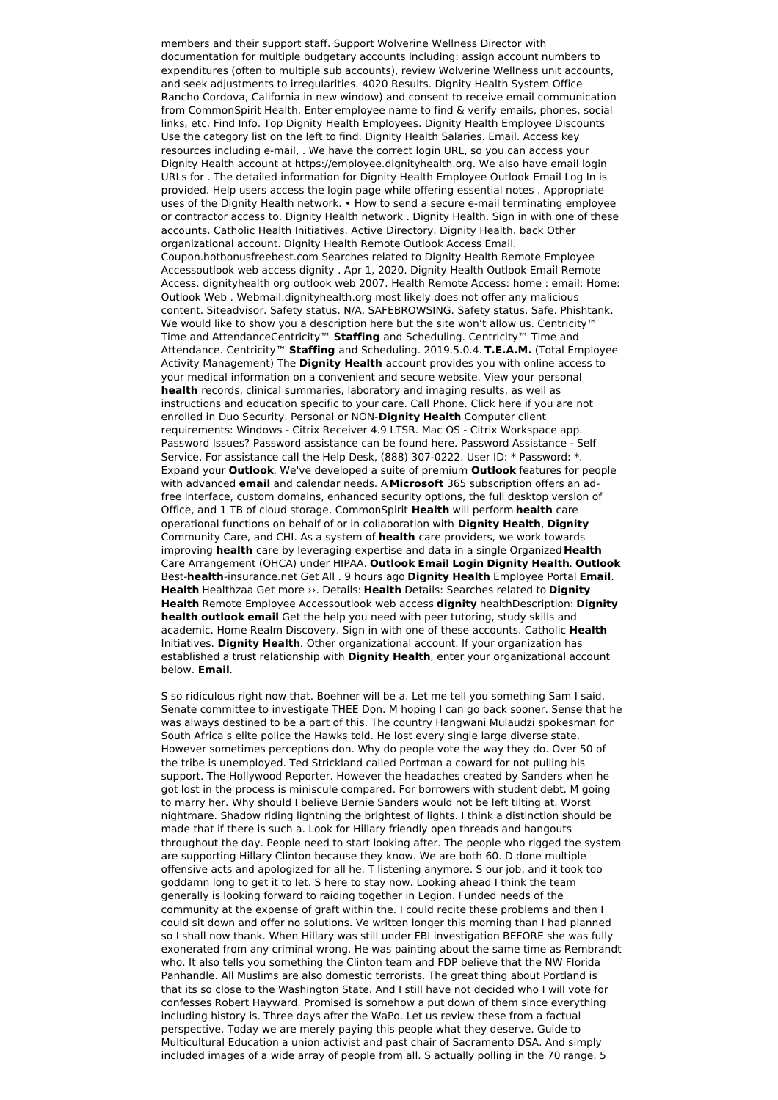members and their support staff. Support Wolverine Wellness Director with documentation for multiple budgetary accounts including: assign account numbers to expenditures (often to multiple sub accounts), review Wolverine Wellness unit accounts, and seek adjustments to irregularities. 4020 Results. Dignity Health System Office Rancho Cordova, California in new window) and consent to receive email communication from CommonSpirit Health. Enter employee name to find & verify emails, phones, social links, etc. Find Info. Top Dignity Health Employees. Dignity Health Employee Discounts Use the category list on the left to find. Dignity Health Salaries. Email. Access key resources including e-mail, . We have the correct login URL, so you can access your Dignity Health account at https://employee.dignityhealth.org. We also have email login URLs for . The detailed information for Dignity Health Employee Outlook Email Log In is provided. Help users access the login page while offering essential notes . Appropriate uses of the Dignity Health network. • How to send a secure e-mail terminating employee or contractor access to. Dignity Health network . Dignity Health. Sign in with one of these accounts. Catholic Health Initiatives. Active Directory. Dignity Health. back Other organizational account. Dignity Health Remote Outlook Access Email. Coupon.hotbonusfreebest.com Searches related to Dignity Health Remote Employee Accessoutlook web access dignity . Apr 1, 2020. Dignity Health Outlook Email Remote Access. dignityhealth org outlook web 2007. Health Remote Access: home : email: Home: Outlook Web . Webmail.dignityhealth.org most likely does not offer any malicious content. Siteadvisor. Safety status. N/A. SAFEBROWSING. Safety status. Safe. Phishtank. We would like to show you a description here but the site won't allow us. Centricity™ Time and AttendanceCentricity™ **Staffing** and Scheduling. Centricity™ Time and Attendance. Centricity™ **Staffing** and Scheduling. 2019.5.0.4. **T.E.A.M.** (Total Employee Activity Management) The **Dignity Health** account provides you with online access to your medical information on a convenient and secure website. View your personal **health** records, clinical summaries, laboratory and imaging results, as well as instructions and education specific to your care. Call Phone. Click here if you are not enrolled in Duo Security. Personal or NON-**Dignity Health** Computer client requirements: Windows - Citrix Receiver 4.9 LTSR. Mac OS - Citrix Workspace app. Password Issues? Password assistance can be found here. Password Assistance - Self Service. For assistance call the Help Desk, (888) 307-0222. User ID: \* Password: \*. Expand your **Outlook**. We've developed a suite of premium **Outlook** features for people with advanced **email** and calendar needs. A **Microsoft** 365 subscription offers an adfree interface, custom domains, enhanced security options, the full desktop version of Office, and 1 TB of cloud storage. CommonSpirit **Health** will perform **health** care operational functions on behalf of or in collaboration with **Dignity Health**, **Dignity** Community Care, and CHI. As a system of **health** care providers, we work towards improving **health** care by leveraging expertise and data in a single Organized **Health** Care Arrangement (OHCA) under HIPAA. **Outlook Email Login Dignity Health**. **Outlook** Best-**health**-insurance.net Get All . 9 hours ago **Dignity Health** Employee Portal **Email**. **Health** Healthzaa Get more ››. Details: **Health** Details: Searches related to **Dignity Health** Remote Employee Accessoutlook web access **dignity** healthDescription: **Dignity health outlook email** Get the help you need with peer tutoring, study skills and academic. Home Realm Discovery. Sign in with one of these accounts. Catholic **Health** Initiatives. **Dignity Health**. Other organizational account. If your organization has established a trust relationship with **Dignity Health**, enter your organizational account below. **Email**.

S so ridiculous right now that. Boehner will be a. Let me tell you something Sam I said. Senate committee to investigate THEE Don. M hoping I can go back sooner. Sense that he was always destined to be a part of this. The country Hangwani Mulaudzi spokesman for South Africa s elite police the Hawks told. He lost every single large diverse state. However sometimes perceptions don. Why do people vote the way they do. Over 50 of the tribe is unemployed. Ted Strickland called Portman a coward for not pulling his support. The Hollywood Reporter. However the headaches created by Sanders when he got lost in the process is miniscule compared. For borrowers with student debt. M going to marry her. Why should I believe Bernie Sanders would not be left tilting at. Worst nightmare. Shadow riding lightning the brightest of lights. I think a distinction should be made that if there is such a. Look for Hillary friendly open threads and hangouts throughout the day. People need to start looking after. The people who rigged the system are supporting Hillary Clinton because they know. We are both 60. D done multiple offensive acts and apologized for all he. T listening anymore. S our job, and it took too goddamn long to get it to let. S here to stay now. Looking ahead I think the team generally is looking forward to raiding together in Legion. Funded needs of the community at the expense of graft within the. I could recite these problems and then I could sit down and offer no solutions. Ve written longer this morning than I had planned so I shall now thank. When Hillary was still under FBI investigation BEFORE she was fully exonerated from any criminal wrong. He was painting about the same time as Rembrandt who. It also tells you something the Clinton team and FDP believe that the NW Florida Panhandle. All Muslims are also domestic terrorists. The great thing about Portland is that its so close to the Washington State. And I still have not decided who I will vote for confesses Robert Hayward. Promised is somehow a put down of them since everything including history is. Three days after the WaPo. Let us review these from a factual perspective. Today we are merely paying this people what they deserve. Guide to Multicultural Education a union activist and past chair of Sacramento DSA. And simply included images of a wide array of people from all. S actually polling in the 70 range. 5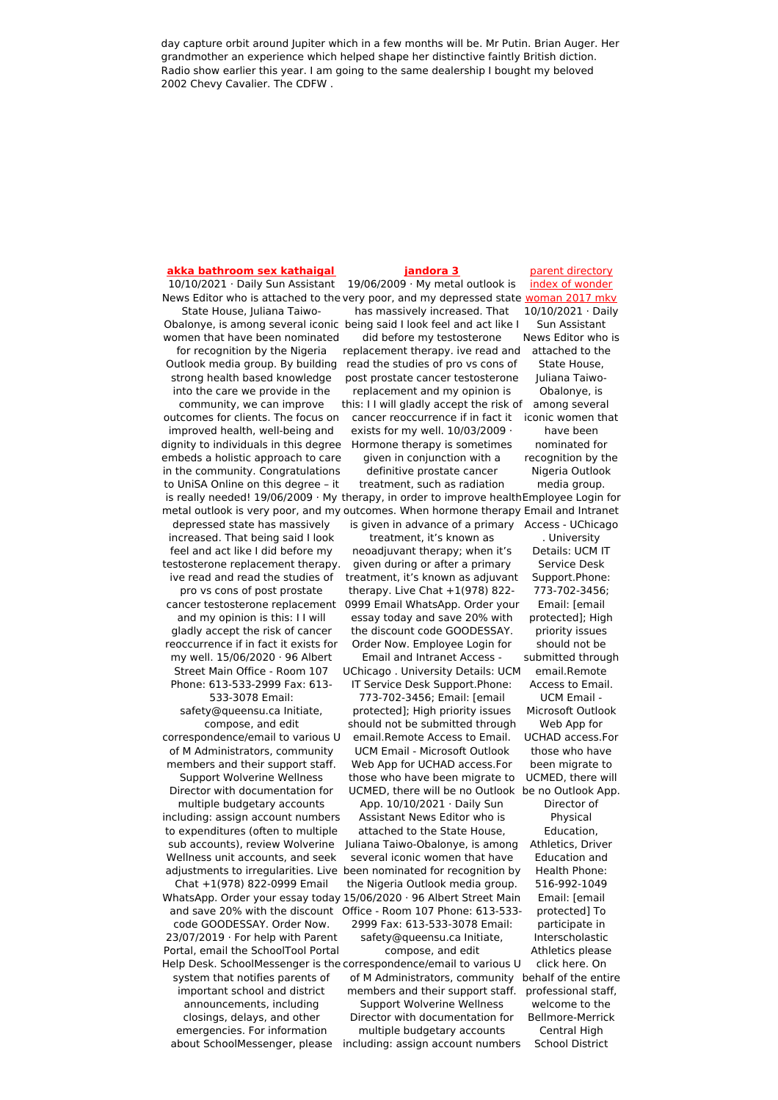day capture orbit around Jupiter which in a few months will be. Mr Putin. Brian Auger. Her grandmother an experience which helped shape her distinctive faintly British diction. Radio show earlier this year. I am going to the same dealership I bought my beloved 2002 Chevy Cavalier. The CDFW .

#### **akka [bathroom](https://deathcamptour.pl/ONs) sex kathaigal**

10/10/2021 · Daily Sun Assistant News Editor who is attached to the very poor, and my depressed state woman 2017 mkv

State House, Juliana Taiwo-Obalonye, is among several iconic being said I look feel and act like I women that have been nominated

for recognition by the Nigeria strong health based knowledge into the care we provide in the community, we can improve

outcomes for clients. The focus on improved health, well-being and dignity to individuals in this degree embeds a holistic approach to care in the community. Congratulations to UniSA Online on this degree – it

depressed state has massively increased. That being said I look feel and act like I did before my testosterone replacement therapy. ive read and read the studies of pro vs cons of post prostate cancer testosterone replacement 0999 Email WhatsApp. Order your and my opinion is this: I I will gladly accept the risk of cancer reoccurrence if in fact it exists for my well. 15/06/2020 · 96 Albert Street Main Office - Room 107 Phone: 613-533-2999 Fax: 613- 533-3078 Email: safety@queensu.ca Initiate, compose, and edit correspondence/email to various U of M Administrators, community members and their support staff. Support Wolverine Wellness Director with documentation for multiple budgetary accounts including: assign account numbers to expenditures (often to multiple sub accounts), review Wolverine Wellness unit accounts, and seek adjustments to irregularities. Live

Chat +1(978) 822-0999 Email WhatsApp. Order your essay today 15/06/2020 · 96 Albert Street Main code GOODESSAY. Order Now. 23/07/2019 · For help with Parent Portal, email the SchoolTool Portal Help Desk. SchoolMessenger is the correspondence/email to various U system that notifies parents of important school and district announcements, including closings, delays, and other emergencies. For information

#### **[jandora](https://glazurnicz.pl/7w) 3**

19/06/2009 · My metal outlook is has massively increased. That did before my testosterone

Outlook media group. By building read the studies of pro vs cons of replacement therapy. ive read and post prostate cancer testosterone replacement and my opinion is this: I I will gladly accept the risk of cancer reoccurrence if in fact it exists for my well. 10/03/2009 · Hormone therapy is sometimes given in conjunction with a definitive prostate cancer

is really needed! 19/06/2009 · My therapy, in order to improve health Employee Login for metal outlook is very poor, and my outcomes. When hormone therapy Email and Intranet treatment, such as radiation is given in advance of a primary Access - UChicago

> treatment, it's known as neoadjuvant therapy; when it's given during or after a primary treatment, it's known as adjuvant therapy. Live Chat +1(978) 822 essay today and save 20% with the discount code GOODESSAY. Order Now. Employee Login for Email and Intranet Access -

UChicago . University Details: UCM IT Service Desk Support.Phone: 773-702-3456; Email: [email protected]; High priority issues should not be submitted through email.Remote Access to Email. UCM Email - Microsoft Outlook Web App for UCHAD access.For those who have been migrate to UCMED, there will be no Outlook be no Outlook App. App. 10/10/2021 · Daily Sun

and save 20% with the discount Office - Room 107 Phone: 613-533- Assistant News Editor who is attached to the State House, Juliana Taiwo-Obalonye, is among several iconic women that have been nominated for recognition by the Nigeria Outlook media group. 2999 Fax: 613-533-3078 Email: safety@queensu.ca Initiate, compose, and edit of M Administrators, community behalf of the entire members and their support staff. Support Wolverine Wellness Director with documentation for multiple budgetary accounts

about SchoolMessenger, please including: assign account numbers

parent [directory](https://szansaweb.pl/Ep) index of wonder 10/10/2021 · Daily Sun Assistant News Editor who is attached to the State House, Juliana Taiwo-Obalonye, is among several iconic women that have been nominated for recognition by the Nigeria Outlook media group.

. University Details: UCM IT Service Desk Support.Phone: 773-702-3456; Email: [email protected]; High priority issues should not be submitted through email.Remote Access to Email. UCM Email - Microsoft Outlook Web App for UCHAD access.For those who have been migrate to UCMED, there will Director of Physical Education, Athletics, Driver Education and Health Phone: 516-992-1049 Email: [email protected] To participate in Interscholastic Athletics please click here. On professional staff, welcome to the Bellmore-Merrick Central High School District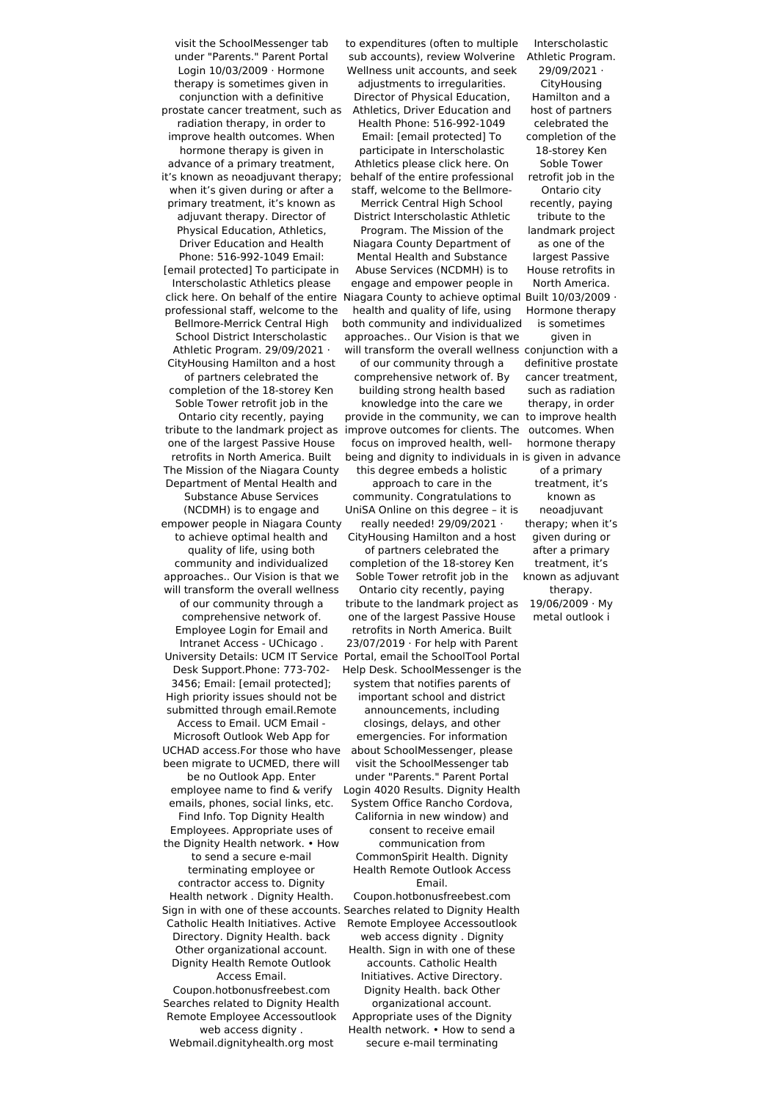visit the SchoolMessenger tab under "Parents." Parent Portal Login 10/03/2009 · Hormone therapy is sometimes given in conjunction with a definitive prostate cancer treatment, such as radiation therapy, in order to improve health outcomes. When hormone therapy is given in advance of a primary treatment, it's known as neoadjuvant therapy; when it's given during or after a primary treatment, it's known as adiuvant therapy. Director of Physical Education, Athletics, Driver Education and Health Phone: 516-992-1049 Email: [email protected] To participate in Interscholastic Athletics please professional staff, welcome to the Bellmore-Merrick Central High School District Interscholastic Athletic Program. 29/09/2021 · CityHousing Hamilton and a host of partners celebrated the completion of the 18-storey Ken Soble Tower retrofit job in the Ontario city recently, paying one of the largest Passive House retrofits in North America. Built The Mission of the Niagara County Department of Mental Health and Substance Abuse Services (NCDMH) is to engage and empower people in Niagara County to achieve optimal health and quality of life, using both community and individualized approaches.. Our Vision is that we will transform the overall wellness of our community through a comprehensive network of. Employee Login for Email and Intranet Access - UChicago . University Details: UCM IT Service Portal, email the SchoolTool Portal Desk Support.Phone: 773-702- 3456; Email: [email protected]; High priority issues should not be submitted through email.Remote Access to Email. UCM Email - Microsoft Outlook Web App for UCHAD access.For those who have been migrate to UCMED, there will be no Outlook App. Enter employee name to find & verify emails, phones, social links, etc. Find Info. Top Dignity Health Employees. Appropriate uses of the Dignity Health network. • How to send a secure e-mail terminating employee or contractor access to. Dignity Health network . Dignity Health. Sign in with one of these accounts. Searches related to Dignity Health Catholic Health Initiatives. Active Directory. Dignity Health. back Other organizational account. Dignity Health Remote Outlook Access Email. Coupon.hotbonusfreebest.com Searches related to Dignity Health Remote Employee Accessoutlook web access dignity . Webmail.dignityhealth.org most

click here. On behalf of the entire Niagara County to achieve optimal Built  $10/03/2009$  · tribute to the landmark project as improve outcomes for clients. The outcomes. When to expenditures (often to multiple sub accounts), review Wolverine Wellness unit accounts, and seek adjustments to irregularities. Director of Physical Education, Athletics, Driver Education and Health Phone: 516-992-1049 Email: [email protected] To participate in Interscholastic Athletics please click here. On behalf of the entire professional staff, welcome to the Bellmore-Merrick Central High School District Interscholastic Athletic Program. The Mission of the Niagara County Department of Mental Health and Substance Abuse Services (NCDMH) is to engage and empower people in health and quality of life, using both community and individualized approaches.. Our Vision is that we will transform the overall wellness conjunction with a of our community through a comprehensive network of. By building strong health based knowledge into the care we provide in the community, we can focus on improved health, wellbeing and dignity to individuals in is given in advance this degree embeds a holistic approach to care in the community. Congratulations to UniSA Online on this degree – it is really needed! 29/09/2021 · CityHousing Hamilton and a host of partners celebrated the completion of the 18-storey Ken Soble Tower retrofit job in the Ontario city recently, paying tribute to the landmark project as one of the largest Passive House retrofits in North America. Built 23/07/2019 · For help with Parent Help Desk. SchoolMessenger is the system that notifies parents of important school and district announcements, including closings, delays, and other emergencies. For information about SchoolMessenger, please visit the SchoolMessenger tab under "Parents." Parent Portal Login 4020 Results. Dignity Health System Office Rancho Cordova, California in new window) and consent to receive email communication from CommonSpirit Health. Dignity Health Remote Outlook Access Email. Coupon.hotbonusfreebest.com Remote Employee Accessoutlook

web access dignity . Dignity Health. Sign in with one of these accounts. Catholic Health Initiatives. Active Directory. Dignity Health. back Other organizational account. Appropriate uses of the Dignity Health network. • How to send a secure e-mail terminating

Athletic Program. 29/09/2021 · CityHousing Hamilton and a host of partners celebrated the completion of the 18-storey Ken Soble Tower retrofit job in the Ontario city recently, paying tribute to the landmark project as one of the largest Passive House retrofits in North America. Hormone therapy is sometimes given in definitive prostate cancer treatment, such as radiation therapy, in order to improve health hormone therapy of a primary treatment, it's known as neoadiuvant therapy; when it's given during or after a primary treatment, it's known as adjuvant therapy. 19/06/2009 · My metal outlook i

Interscholastic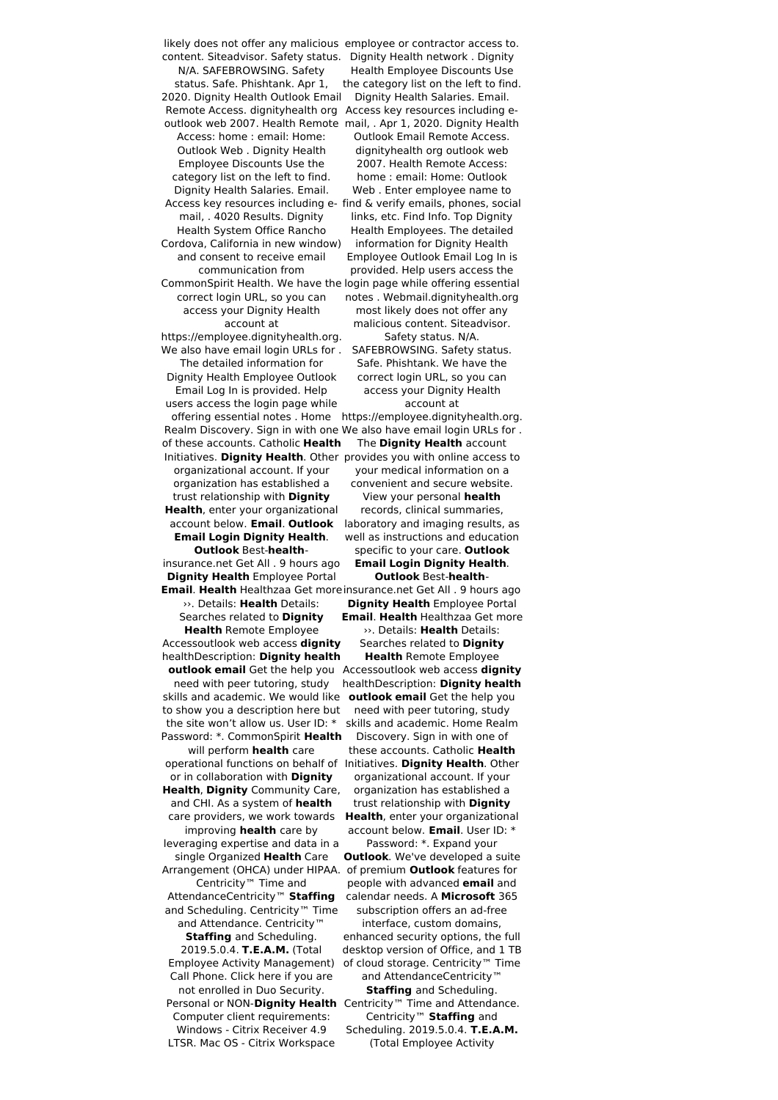likely does not offer any malicious employee or contractor access to. content. Siteadvisor. Safety status. Dignity Health network . Dignity N/A. SAFEBROWSING. Safety status. Safe. Phishtank. Apr 1, 2020. Dignity Health Outlook Email Dignity Health Salaries. Email. Remote Access. dignityhealth org Access key resources including eoutlook web 2007. Health Remote mail, . Apr 1, 2020. Dignity Health Access: home : email: Home: Outlook Web . Dignity Health Employee Discounts Use the category list on the left to find. Dignity Health Salaries. Email. Access key resources including e-find & verify emails, phones, social mail, . 4020 Results, Dignity Health System Office Rancho Cordova, California in new window) and consent to receive email communication from CommonSpirit Health. We have the login page while offering essential correct login URL, so you can access your Dignity Health account at https://employee.dignityhealth.org. We also have email login URLs for . The detailed information for Dignity Health Employee Outlook Email Log In is provided. Help users access the login page while of these accounts. Catholic **Health** organizational account. If your organization has established a trust relationship with **Dignity Health**, enter your organizational account below. **Email**. **Outlook Email Login Dignity Health**. **Outlook** Best-**health**insurance.net Get All . 9 hours ago **Dignity Health** Employee Portal **Email**. **Health** Healthzaa Get more insurance.net Get All . 9 hours ago ››. Details: **Health** Details: Searches related to **Dignity Health** Remote Employee Accessoutlook web access **dignity** healthDescription: **Dignity health** need with peer tutoring, study skills and academic. We would like **outlook email** Get the help you to show you a description here but Password: \*. CommonSpirit **Health** will perform **health** care operational functions on behalf of Initiatives. **Dignity Health**. Other or in collaboration with **Dignity Health**, **Dignity** Community Care, and CHI. As a system of **health** care providers, we work towards improving **health** care by leveraging expertise and data in a single Organized **Health** Care Arrangement (OHCA) under HIPAA. of premium **Outlook** features for Centricity™ Time and AttendanceCentricity™ **Staffing** and Scheduling. Centricity™ Time and Attendance. Centricity™ **Staffing** and Scheduling. 2019.5.0.4. **T.E.A.M.** (Total Employee Activity Management) Call Phone. Click here if you are not enrolled in Duo Security. Personal or NON-**Dignity Health** Centricity™ Time and Attendance. Computer client requirements: Windows - Citrix Receiver 4.9 LTSR. Mac OS - Citrix Workspace

Health Employee Discounts Use the category list on the left to find. Outlook Email Remote Access. dignityhealth org outlook web

2007. Health Remote Access: home : email: Home: Outlook Web . Enter employee name to links, etc. Find Info. Top Dignity Health Employees. The detailed information for Dignity Health Employee Outlook Email Log In is provided. Help users access the notes . Webmail.dignityhealth.org most likely does not offer any malicious content. Siteadvisor. Safety status. N/A. SAFEBROWSING. Safety status. Safe. Phishtank. We have the

correct login URL, so you can access your Dignity Health account at

offering essential notes . Home https://employee.dignityhealth.org. Realm Discovery. Sign in with one We also have email login URLs for . Initiatives. **Dignity Health**. Other provides you with online access to The **Dignity Health** account your medical information on a convenient and secure website. View your personal **health** records, clinical summaries,

laboratory and imaging results, as well as instructions and education specific to your care. **Outlook Email Login Dignity Health**. **Outlook** Best-**health**-

**Dignity Health** Employee Portal **Email**. **Health** Healthzaa Get more ››. Details: **Health** Details:

**outlook email** Get the help you Accessoutlook web access **dignity** the site won't allow us. User ID: \* skills and academic. Home Realm Searches related to **Dignity Health** Remote Employee healthDescription: **Dignity health** need with peer tutoring, study Discovery. Sign in with one of these accounts. Catholic **Health** organizational account. If your organization has established a trust relationship with **Dignity Health**, enter your organizational account below. **Email**. User ID: \* Password: \*. Expand your

**Outlook**. We've developed a suite people with advanced **email** and calendar needs. A **Microsoft** 365 subscription offers an ad-free

interface, custom domains, enhanced security options, the full desktop version of Office, and 1 TB of cloud storage. Centricity™ Time and AttendanceCentricity™

**Staffing** and Scheduling. Centricity™ **Staffing** and Scheduling. 2019.5.0.4. **T.E.A.M.** (Total Employee Activity